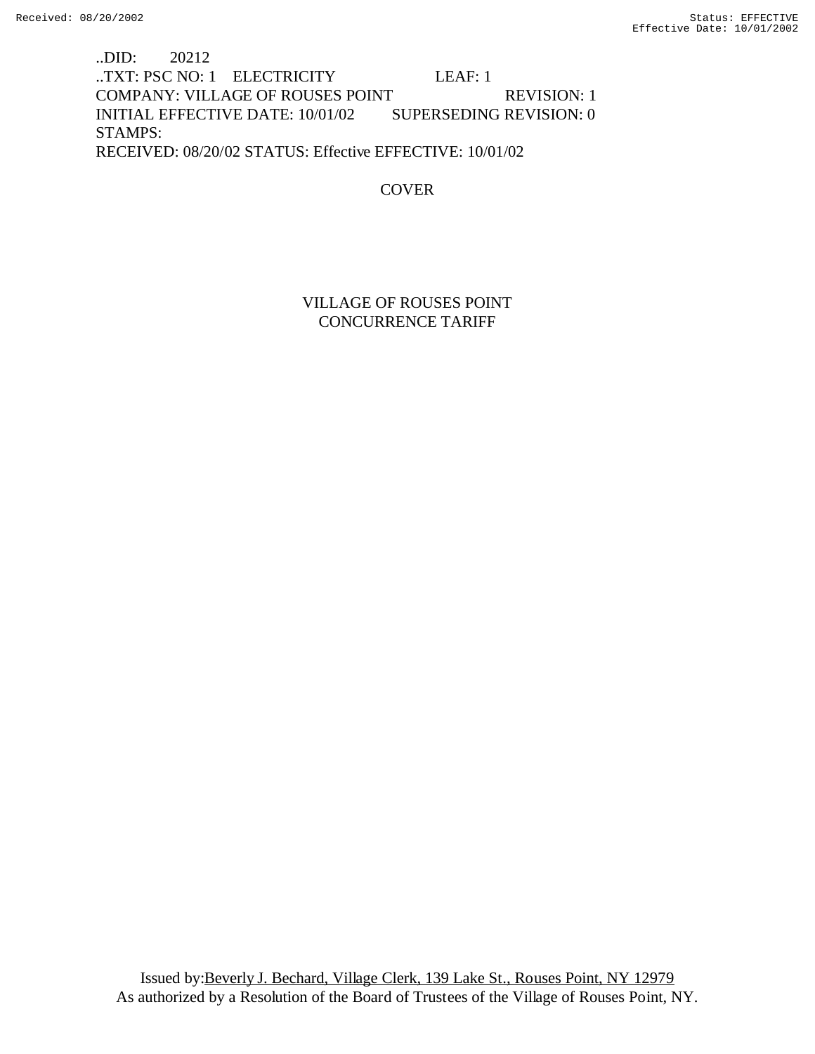..DID: 20212 ..TXT: PSC NO: 1 ELECTRICITY LEAF: 1 COMPANY: VILLAGE OF ROUSES POINT REVISION: 1 INITIAL EFFECTIVE DATE: 10/01/02 SUPERSEDING REVISION: 0 STAMPS: RECEIVED: 08/20/02 STATUS: Effective EFFECTIVE: 10/01/02

COVER

VILLAGE OF ROUSES POINT CONCURRENCE TARIFF

Issued by:Beverly J. Bechard, Village Clerk, 139 Lake St., Rouses Point, NY 12979 As authorized by a Resolution of the Board of Trustees of the Village of Rouses Point, NY.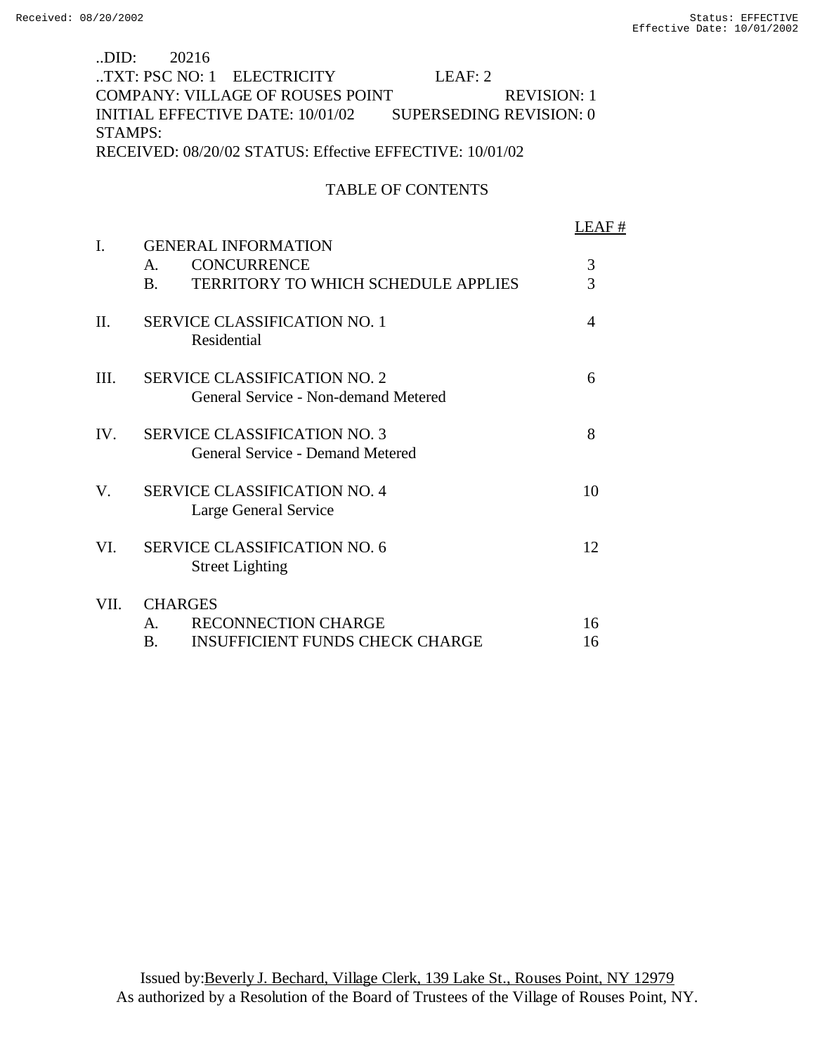# ..DID: 20216 ..TXT: PSC NO: 1 ELECTRICITY LEAF: 2 COMPANY: VILLAGE OF ROUSES POINT REVISION: 1 INITIAL EFFECTIVE DATE: 10/01/02 SUPERSEDING REVISION: 0 STAMPS: RECEIVED: 08/20/02 STATUS: Effective EFFECTIVE: 10/01/02

### TABLE OF CONTENTS

|      |                                                                                | LEAF # |
|------|--------------------------------------------------------------------------------|--------|
| I.   | <b>GENERAL INFORMATION</b>                                                     |        |
|      | <b>CONCURRENCE</b><br>$\mathsf{A}$ .                                           | 3      |
|      | <b>TERRITORY TO WHICH SCHEDULE APPLIES</b><br><b>B.</b>                        | 3      |
| II.  | <b>SERVICE CLASSIFICATION NO. 1</b><br>Residential                             | 4      |
| III. | <b>SERVICE CLASSIFICATION NO. 2</b><br>General Service - Non-demand Metered    | 6      |
| IV.  | <b>SERVICE CLASSIFICATION NO. 3</b><br><b>General Service - Demand Metered</b> | 8      |
| V.   | <b>SERVICE CLASSIFICATION NO. 4</b><br>Large General Service                   | 10     |
| VI.  | <b>SERVICE CLASSIFICATION NO. 6</b><br><b>Street Lighting</b>                  | 12     |
| VII. | <b>CHARGES</b>                                                                 |        |
|      | <b>RECONNECTION CHARGE</b><br>$\mathbf{A}$                                     | 16     |
|      | <b>INSUFFICIENT FUNDS CHECK CHARGE</b><br>B.                                   | 16     |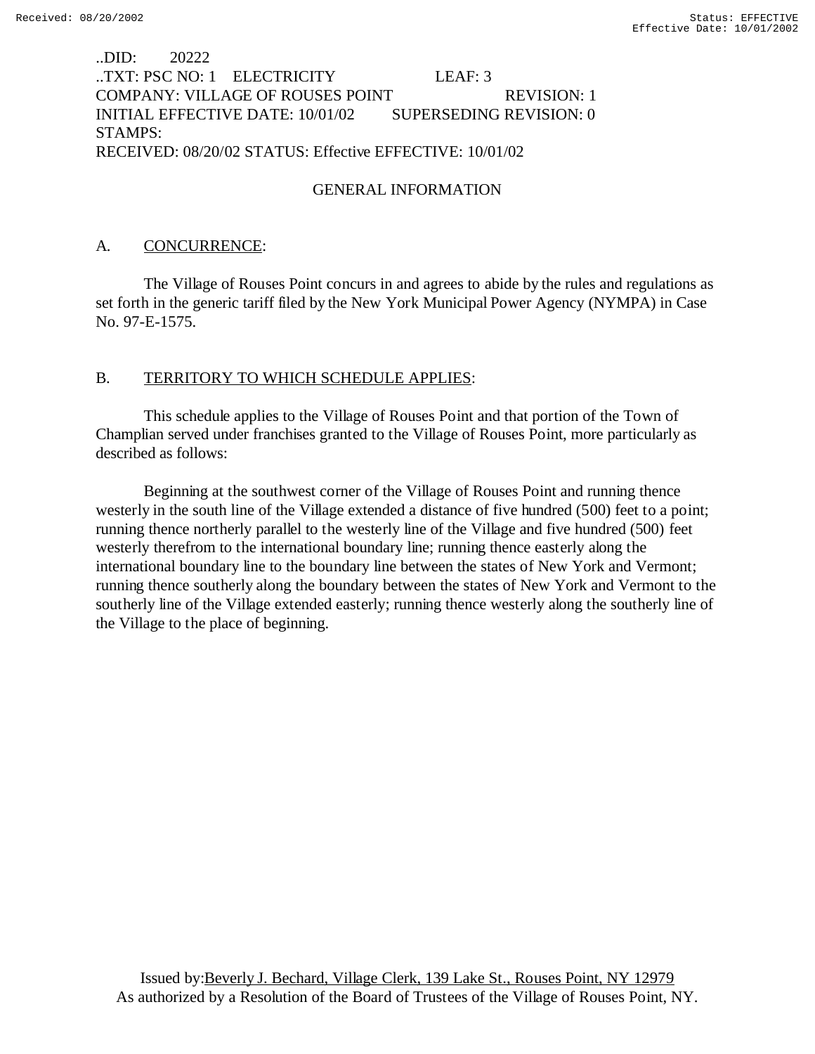# ..DID: 20222 ..TXT: PSC NO: 1 ELECTRICITY LEAF: 3 COMPANY: VILLAGE OF ROUSES POINT REVISION: 1 INITIAL EFFECTIVE DATE: 10/01/02 SUPERSEDING REVISION: 0 STAMPS: RECEIVED: 08/20/02 STATUS: Effective EFFECTIVE: 10/01/02

# GENERAL INFORMATION

## A. CONCURRENCE:

The Village of Rouses Point concurs in and agrees to abide by the rules and regulations as set forth in the generic tariff filed by the New York Municipal Power Agency (NYMPA) in Case No. 97-E-1575.

# B. TERRITORY TO WHICH SCHEDULE APPLIES:

This schedule applies to the Village of Rouses Point and that portion of the Town of Champlian served under franchises granted to the Village of Rouses Point, more particularly as described as follows:

Beginning at the southwest corner of the Village of Rouses Point and running thence westerly in the south line of the Village extended a distance of five hundred (500) feet to a point; running thence northerly parallel to the westerly line of the Village and five hundred (500) feet westerly therefrom to the international boundary line; running thence easterly along the international boundary line to the boundary line between the states of New York and Vermont; running thence southerly along the boundary between the states of New York and Vermont to the southerly line of the Village extended easterly; running thence westerly along the southerly line of the Village to the place of beginning.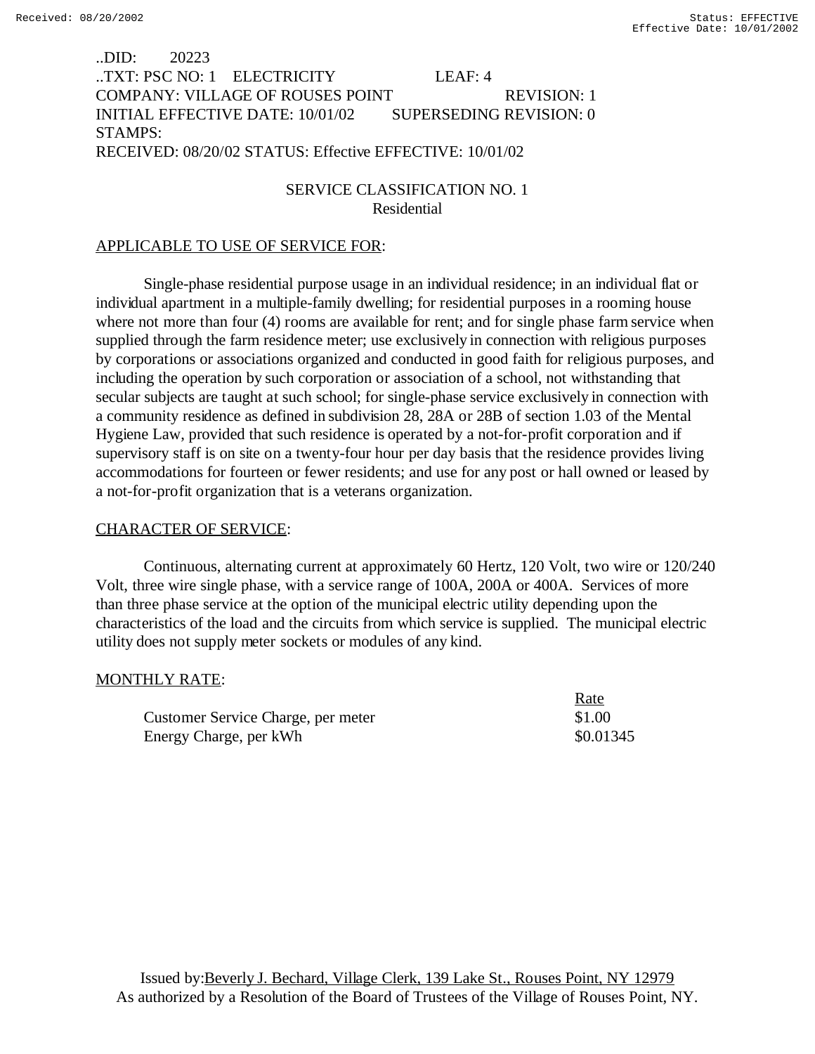# ..DID: 20223 ..TXT: PSC NO: 1 ELECTRICITY LEAF: 4 COMPANY: VILLAGE OF ROUSES POINT REVISION: 1 INITIAL EFFECTIVE DATE: 10/01/02 SUPERSEDING REVISION: 0 STAMPS: RECEIVED: 08/20/02 STATUS: Effective EFFECTIVE: 10/01/02

# SERVICE CLASSIFICATION NO. 1 Residential

## APPLICABLE TO USE OF SERVICE FOR:

Single-phase residential purpose usage in an individual residence; in an individual flat or individual apartment in a multiple-family dwelling; for residential purposes in a rooming house where not more than four (4) rooms are available for rent; and for single phase farm service when supplied through the farm residence meter; use exclusively in connection with religious purposes by corporations or associations organized and conducted in good faith for religious purposes, and including the operation by such corporation or association of a school, not withstanding that secular subjects are taught at such school; for single-phase service exclusively in connection with a community residence as defined in subdivision 28, 28A or 28B of section 1.03 of the Mental Hygiene Law, provided that such residence is operated by a not-for-profit corporation and if supervisory staff is on site on a twenty-four hour per day basis that the residence provides living accommodations for fourteen or fewer residents; and use for any post or hall owned or leased by a not-for-profit organization that is a veterans organization.

### CHARACTER OF SERVICE:

Continuous, alternating current at approximately 60 Hertz, 120 Volt, two wire or 120/240 Volt, three wire single phase, with a service range of 100A, 200A or 400A. Services of more than three phase service at the option of the municipal electric utility depending upon the characteristics of the load and the circuits from which service is supplied. The municipal electric utility does not supply meter sockets or modules of any kind.

 $D_{0}$ to

#### MONTHLY RATE:

|                                    | <u>ivale</u> |
|------------------------------------|--------------|
| Customer Service Charge, per meter | \$1.00       |
| Energy Charge, per kWh             | \$0.01345    |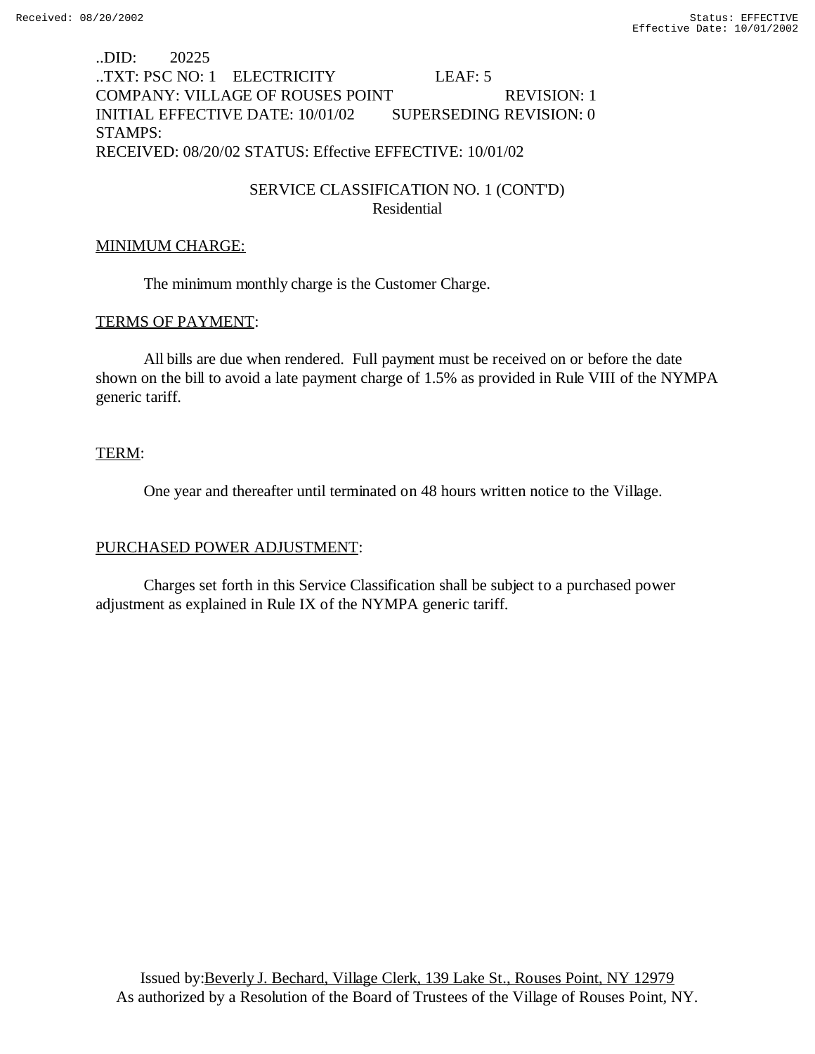# ..DID: 20225 ..TXT: PSC NO: 1 ELECTRICITY LEAF: 5 COMPANY: VILLAGE OF ROUSES POINT REVISION: 1 INITIAL EFFECTIVE DATE: 10/01/02 SUPERSEDING REVISION: 0 STAMPS: RECEIVED: 08/20/02 STATUS: Effective EFFECTIVE: 10/01/02

# SERVICE CLASSIFICATION NO. 1 (CONT'D) Residential

## MINIMUM CHARGE:

The minimum monthly charge is the Customer Charge.

### TERMS OF PAYMENT:

All bills are due when rendered. Full payment must be received on or before the date shown on the bill to avoid a late payment charge of 1.5% as provided in Rule VIII of the NYMPA generic tariff.

### TERM:

One year and thereafter until terminated on 48 hours written notice to the Village.

## PURCHASED POWER ADJUSTMENT:

Charges set forth in this Service Classification shall be subject to a purchased power adjustment as explained in Rule IX of the NYMPA generic tariff.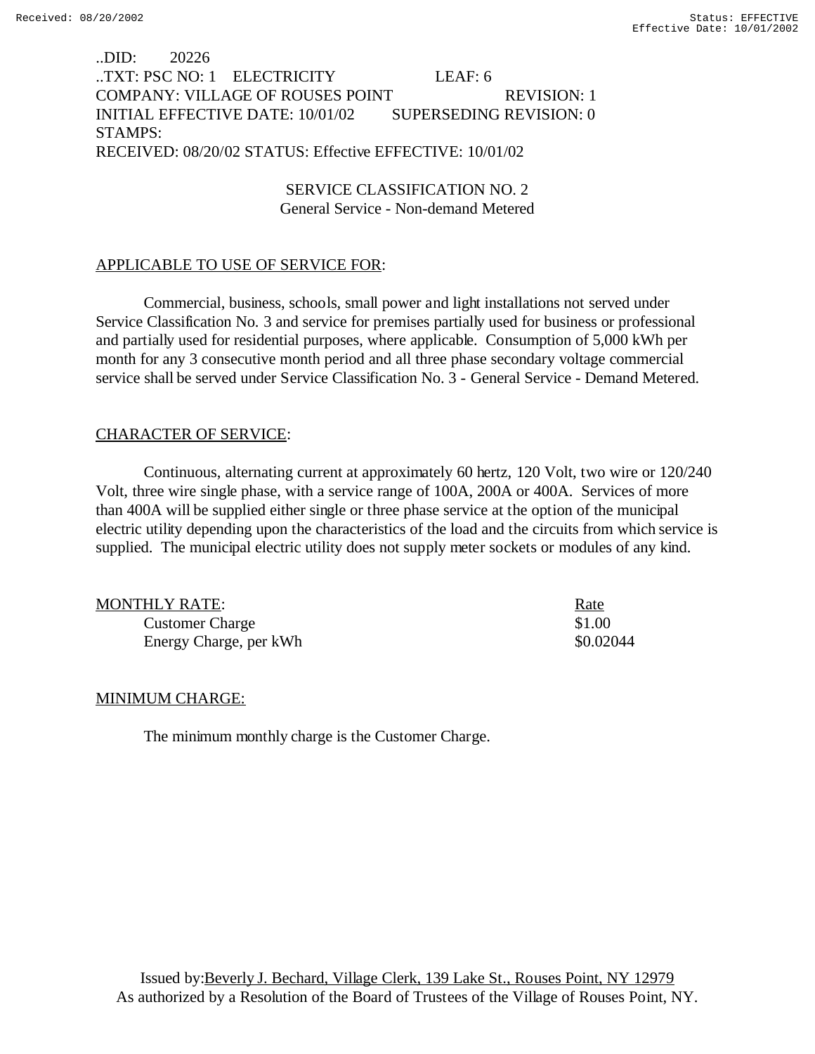# ..DID: 20226 ..TXT: PSC NO: 1 ELECTRICITY LEAF: 6 COMPANY: VILLAGE OF ROUSES POINT REVISION: 1 INITIAL EFFECTIVE DATE: 10/01/02 SUPERSEDING REVISION: 0 STAMPS: RECEIVED: 08/20/02 STATUS: Effective EFFECTIVE: 10/01/02

SERVICE CLASSIFICATION NO. 2 General Service - Non-demand Metered

### APPLICABLE TO USE OF SERVICE FOR:

Commercial, business, schools, small power and light installations not served under Service Classification No. 3 and service for premises partially used for business or professional and partially used for residential purposes, where applicable. Consumption of 5,000 kWh per month for any 3 consecutive month period and all three phase secondary voltage commercial service shall be served under Service Classification No. 3 - General Service - Demand Metered.

### CHARACTER OF SERVICE:

Continuous, alternating current at approximately 60 hertz, 120 Volt, two wire or 120/240 Volt, three wire single phase, with a service range of 100A, 200A or 400A. Services of more than 400A will be supplied either single or three phase service at the option of the municipal electric utility depending upon the characteristics of the load and the circuits from which service is supplied. The municipal electric utility does not supply meter sockets or modules of any kind.

| MONTHLY RATE:          | <u>Rate</u> |
|------------------------|-------------|
| <b>Customer Charge</b> | \$1.00      |
| Energy Charge, per kWh | \$0.02044   |

#### MINIMUM CHARGE:

The minimum monthly charge is the Customer Charge.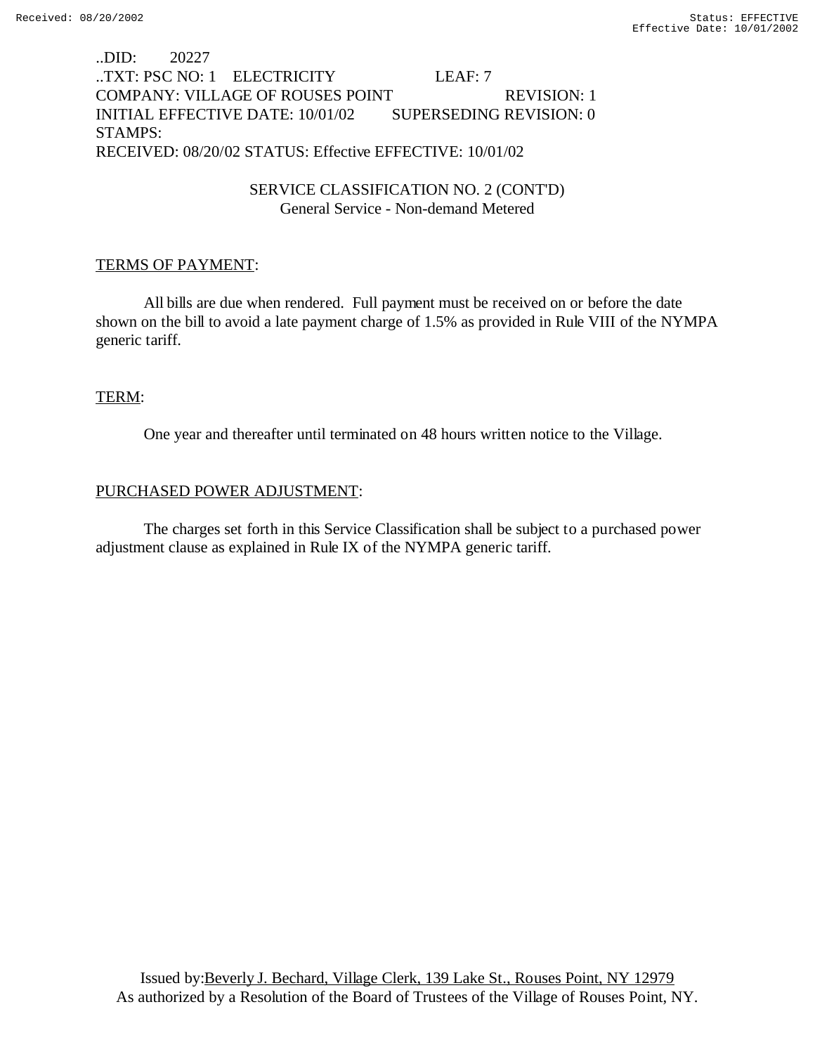# ..DID: 20227 ..TXT: PSC NO: 1 ELECTRICITY LEAF: 7 COMPANY: VILLAGE OF ROUSES POINT REVISION: 1 INITIAL EFFECTIVE DATE: 10/01/02 SUPERSEDING REVISION: 0 STAMPS: RECEIVED: 08/20/02 STATUS: Effective EFFECTIVE: 10/01/02

## SERVICE CLASSIFICATION NO. 2 (CONT'D) General Service - Non-demand Metered

# TERMS OF PAYMENT:

All bills are due when rendered. Full payment must be received on or before the date shown on the bill to avoid a late payment charge of 1.5% as provided in Rule VIII of the NYMPA generic tariff.

### TERM:

One year and thereafter until terminated on 48 hours written notice to the Village.

### PURCHASED POWER ADJUSTMENT:

The charges set forth in this Service Classification shall be subject to a purchased power adjustment clause as explained in Rule IX of the NYMPA generic tariff.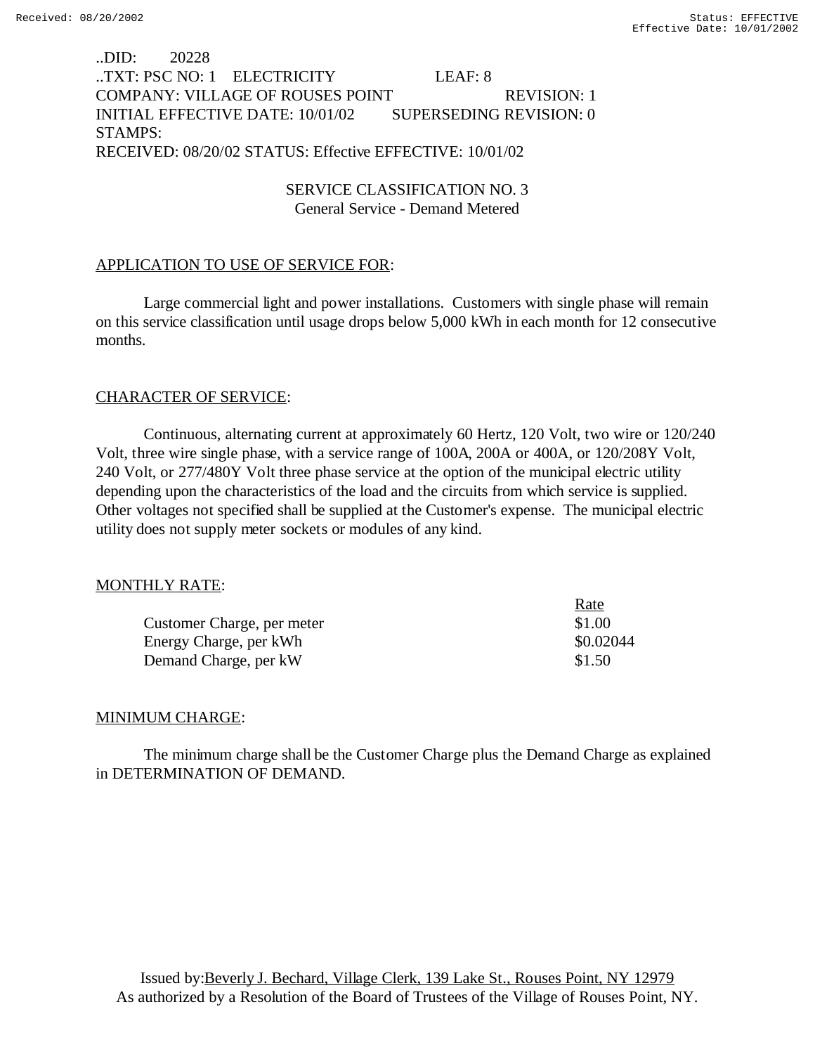# ..DID: 20228 ..TXT: PSC NO: 1 ELECTRICITY LEAF: 8 COMPANY: VILLAGE OF ROUSES POINT REVISION: 1 INITIAL EFFECTIVE DATE: 10/01/02 SUPERSEDING REVISION: 0 STAMPS: RECEIVED: 08/20/02 STATUS: Effective EFFECTIVE: 10/01/02

SERVICE CLASSIFICATION NO. 3 General Service - Demand Metered

### APPLICATION TO USE OF SERVICE FOR:

Large commercial light and power installations. Customers with single phase will remain on this service classification until usage drops below 5,000 kWh in each month for 12 consecutive months.

### CHARACTER OF SERVICE:

Continuous, alternating current at approximately 60 Hertz, 120 Volt, two wire or 120/240 Volt, three wire single phase, with a service range of 100A, 200A or 400A, or 120/208Y Volt, 240 Volt, or 277/480Y Volt three phase service at the option of the municipal electric utility depending upon the characteristics of the load and the circuits from which service is supplied. Other voltages not specified shall be supplied at the Customer's expense. The municipal electric utility does not supply meter sockets or modules of any kind.

#### MONTHLY RATE:

|                            | Rate      |
|----------------------------|-----------|
| Customer Charge, per meter | \$1.00    |
| Energy Charge, per kWh     | \$0.02044 |
| Demand Charge, per kW      | \$1.50    |

#### MINIMUM CHARGE:

The minimum charge shall be the Customer Charge plus the Demand Charge as explained in DETERMINATION OF DEMAND.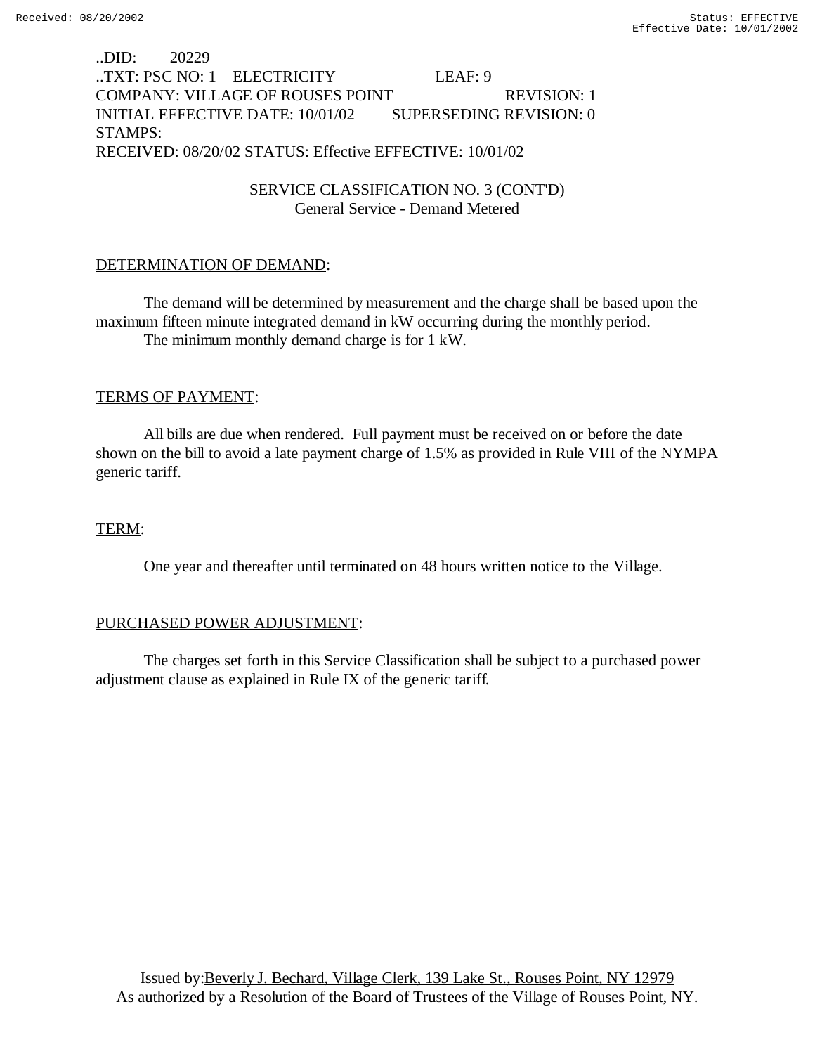# ..DID: 20229 ..TXT: PSC NO: 1 ELECTRICITY LEAF: 9 COMPANY: VILLAGE OF ROUSES POINT REVISION: 1 INITIAL EFFECTIVE DATE: 10/01/02 SUPERSEDING REVISION: 0 STAMPS: RECEIVED: 08/20/02 STATUS: Effective EFFECTIVE: 10/01/02

SERVICE CLASSIFICATION NO. 3 (CONT'D) General Service - Demand Metered

### DETERMINATION OF DEMAND:

The demand will be determined by measurement and the charge shall be based upon the maximum fifteen minute integrated demand in kW occurring during the monthly period. The minimum monthly demand charge is for 1 kW.

#### TERMS OF PAYMENT:

All bills are due when rendered. Full payment must be received on or before the date shown on the bill to avoid a late payment charge of 1.5% as provided in Rule VIII of the NYMPA generic tariff.

#### TERM:

One year and thereafter until terminated on 48 hours written notice to the Village.

## PURCHASED POWER ADJUSTMENT:

The charges set forth in this Service Classification shall be subject to a purchased power adjustment clause as explained in Rule IX of the generic tariff.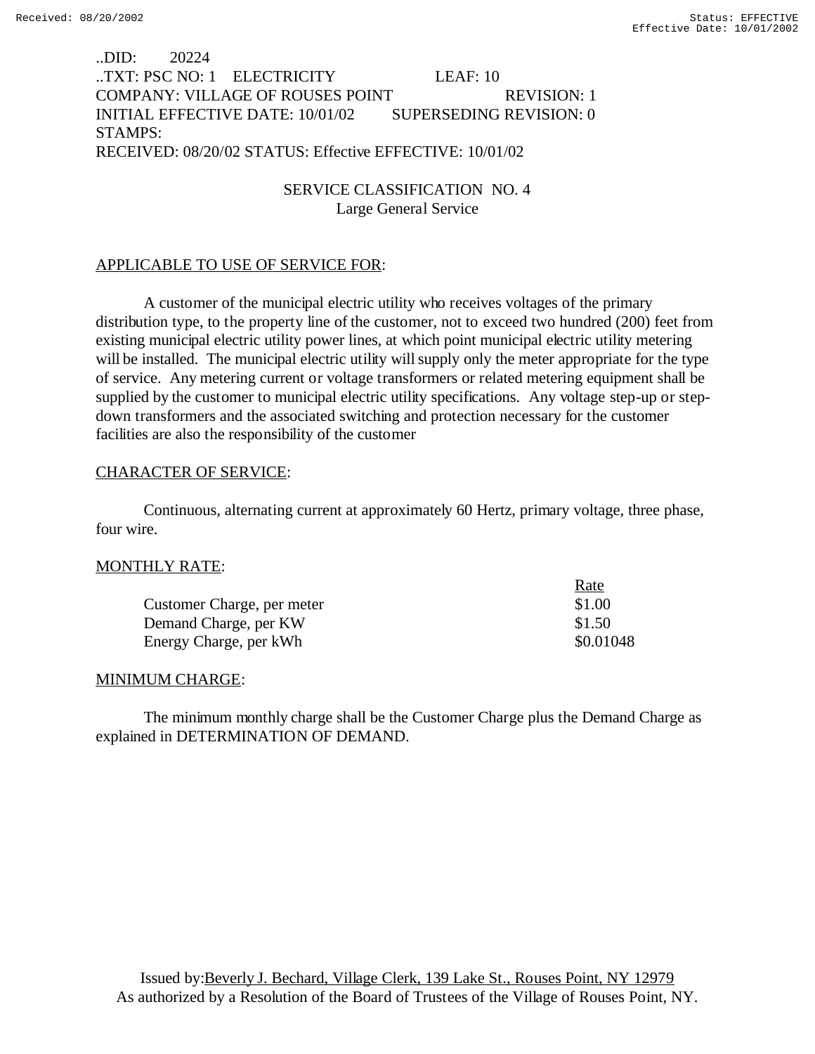# ..DID: 20224 ..TXT: PSC NO: 1 ELECTRICITY LEAF: 10 COMPANY: VILLAGE OF ROUSES POINT REVISION: 1 INITIAL EFFECTIVE DATE: 10/01/02 SUPERSEDING REVISION: 0 STAMPS: RECEIVED: 08/20/02 STATUS: Effective EFFECTIVE: 10/01/02

SERVICE CLASSIFICATION NO. 4 Large General Service

### APPLICABLE TO USE OF SERVICE FOR:

A customer of the municipal electric utility who receives voltages of the primary distribution type, to the property line of the customer, not to exceed two hundred (200) feet from existing municipal electric utility power lines, at which point municipal electric utility metering will be installed. The municipal electric utility will supply only the meter appropriate for the type of service. Any metering current or voltage transformers or related metering equipment shall be supplied by the customer to municipal electric utility specifications. Any voltage step-up or stepdown transformers and the associated switching and protection necessary for the customer facilities are also the responsibility of the customer

### CHARACTER OF SERVICE:

Continuous, alternating current at approximately 60 Hertz, primary voltage, three phase, four wire.

#### MONTHLY RATE:

|                            | Rate      |
|----------------------------|-----------|
| Customer Charge, per meter | \$1.00    |
| Demand Charge, per KW      | \$1.50    |
| Energy Charge, per kWh     | \$0.01048 |

#### MINIMUM CHARGE:

The minimum monthly charge shall be the Customer Charge plus the Demand Charge as explained in DETERMINATION OF DEMAND.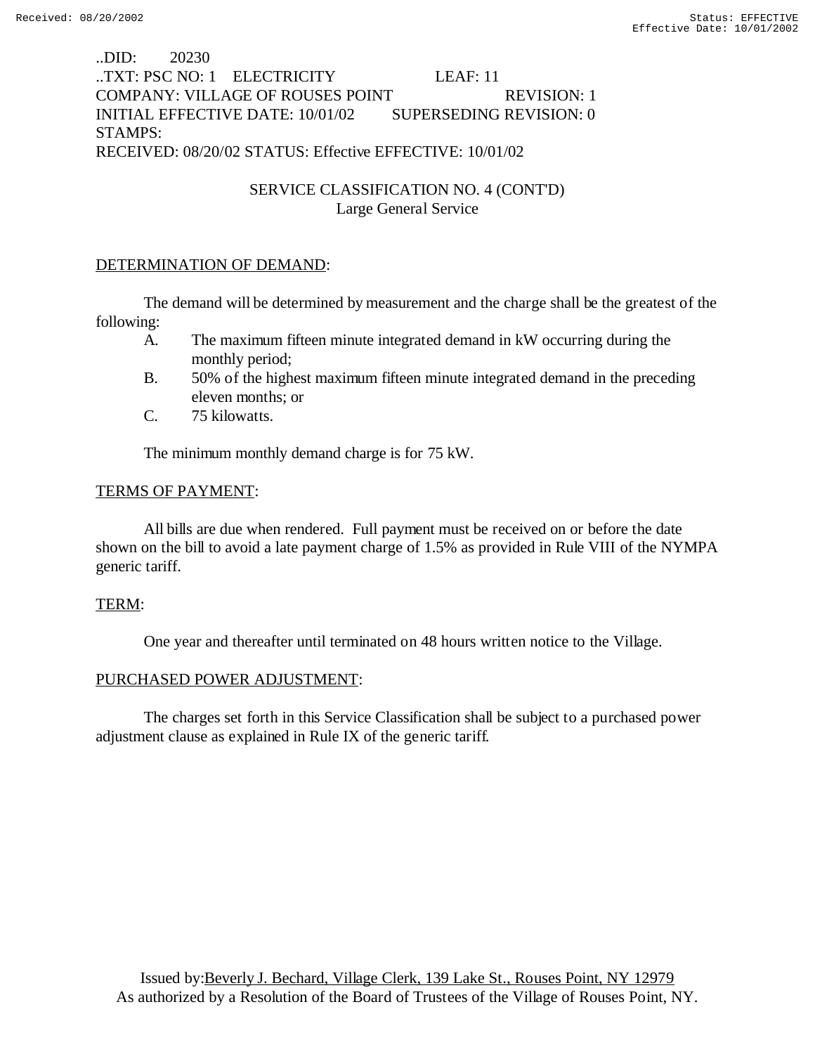# ..DID: 20230 ..TXT: PSC NO: 1 ELECTRICITY LEAF: 11 COMPANY: VILLAGE OF ROUSES POINT REVISION: 1 INITIAL EFFECTIVE DATE: 10/01/02 SUPERSEDING REVISION: 0 STAMPS: RECEIVED: 08/20/02 STATUS: Effective EFFECTIVE: 10/01/02

# SERVICE CLASSIFICATION NO. 4 (CONT'D) Large General Service

## DETERMINATION OF DEMAND:

The demand will be determined by measurement and the charge shall be the greatest of the following:

- A. The maximum fifteen minute integrated demand in kW occurring during the monthly period;
- B. 50% of the highest maximum fifteen minute integrated demand in the preceding eleven months; or
- C. 75 kilowatts.

The minimum monthly demand charge is for 75 kW.

### TERMS OF PAYMENT:

All bills are due when rendered. Full payment must be received on or before the date shown on the bill to avoid a late payment charge of 1.5% as provided in Rule VIII of the NYMPA generic tariff.

#### TERM:

One year and thereafter until terminated on 48 hours written notice to the Village.

## PURCHASED POWER ADJUSTMENT:

The charges set forth in this Service Classification shall be subject to a purchased power adjustment clause as explained in Rule IX of the generic tariff.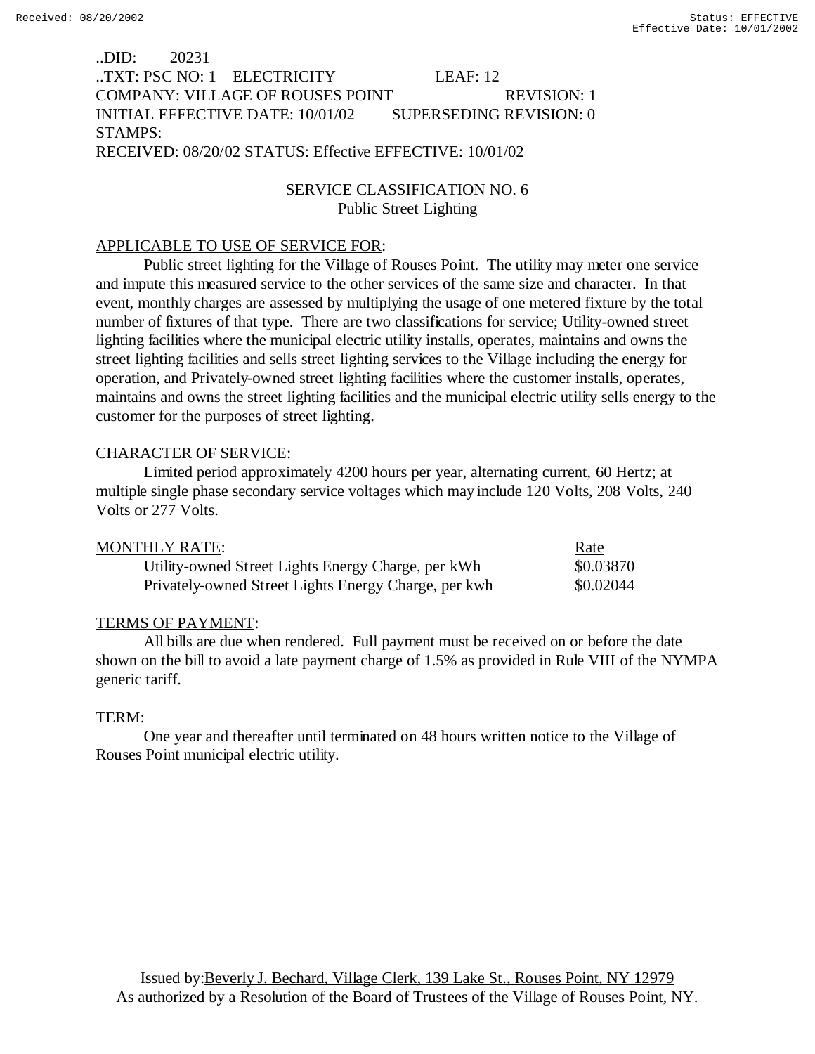# ..DID: 20231 ..TXT: PSC NO: 1 ELECTRICITY LEAF: 12 COMPANY: VILLAGE OF ROUSES POINT REVISION: 1 INITIAL EFFECTIVE DATE: 10/01/02 SUPERSEDING REVISION: 0 STAMPS: RECEIVED: 08/20/02 STATUS: Effective EFFECTIVE: 10/01/02

# SERVICE CLASSIFICATION NO. 6 Public Street Lighting

## APPLICABLE TO USE OF SERVICE FOR:

Public street lighting for the Village of Rouses Point. The utility may meter one service and impute this measured service to the other services of the same size and character. In that event, monthly charges are assessed by multiplying the usage of one metered fixture by the total number of fixtures of that type. There are two classifications for service; Utility-owned street lighting facilities where the municipal electric utility installs, operates, maintains and owns the street lighting facilities and sells street lighting services to the Village including the energy for operation, and Privately-owned street lighting facilities where the customer installs, operates, maintains and owns the street lighting facilities and the municipal electric utility sells energy to the customer for the purposes of street lighting.

# CHARACTER OF SERVICE:

Limited period approximately 4200 hours per year, alternating current, 60 Hertz; at multiple single phase secondary service voltages which may include 120 Volts, 208 Volts, 240 Volts or 277 Volts.

| MONTHLY RATE:                                        | Rate      |
|------------------------------------------------------|-----------|
| Utility-owned Street Lights Energy Charge, per kWh   | \$0.03870 |
| Privately-owned Street Lights Energy Charge, per kwh | \$0.02044 |

## TERMS OF PAYMENT:

All bills are due when rendered. Full payment must be received on or before the date shown on the bill to avoid a late payment charge of 1.5% as provided in Rule VIII of the NYMPA generic tariff.

## TERM:

One year and thereafter until terminated on 48 hours written notice to the Village of Rouses Point municipal electric utility.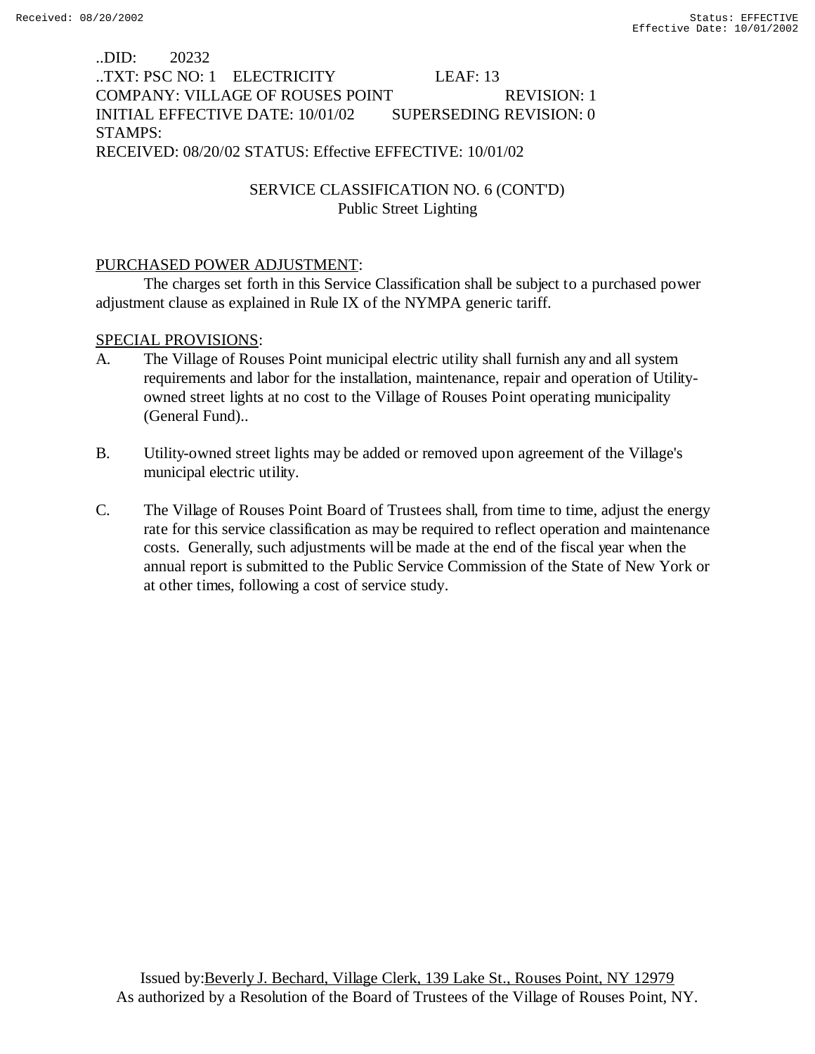# ..DID: 20232 ..TXT: PSC NO: 1 ELECTRICITY LEAF: 13 COMPANY: VILLAGE OF ROUSES POINT REVISION: 1 INITIAL EFFECTIVE DATE: 10/01/02 SUPERSEDING REVISION: 0 STAMPS: RECEIVED: 08/20/02 STATUS: Effective EFFECTIVE: 10/01/02

# SERVICE CLASSIFICATION NO. 6 (CONT'D) Public Street Lighting

### PURCHASED POWER ADJUSTMENT:

The charges set forth in this Service Classification shall be subject to a purchased power adjustment clause as explained in Rule IX of the NYMPA generic tariff.

### SPECIAL PROVISIONS:

- A. The Village of Rouses Point municipal electric utility shall furnish any and all system requirements and labor for the installation, maintenance, repair and operation of Utilityowned street lights at no cost to the Village of Rouses Point operating municipality (General Fund)..
- B. Utility-owned street lights may be added or removed upon agreement of the Village's municipal electric utility.
- C. The Village of Rouses Point Board of Trustees shall, from time to time, adjust the energy rate for this service classification as may be required to reflect operation and maintenance costs. Generally, such adjustments will be made at the end of the fiscal year when the annual report is submitted to the Public Service Commission of the State of New York or at other times, following a cost of service study.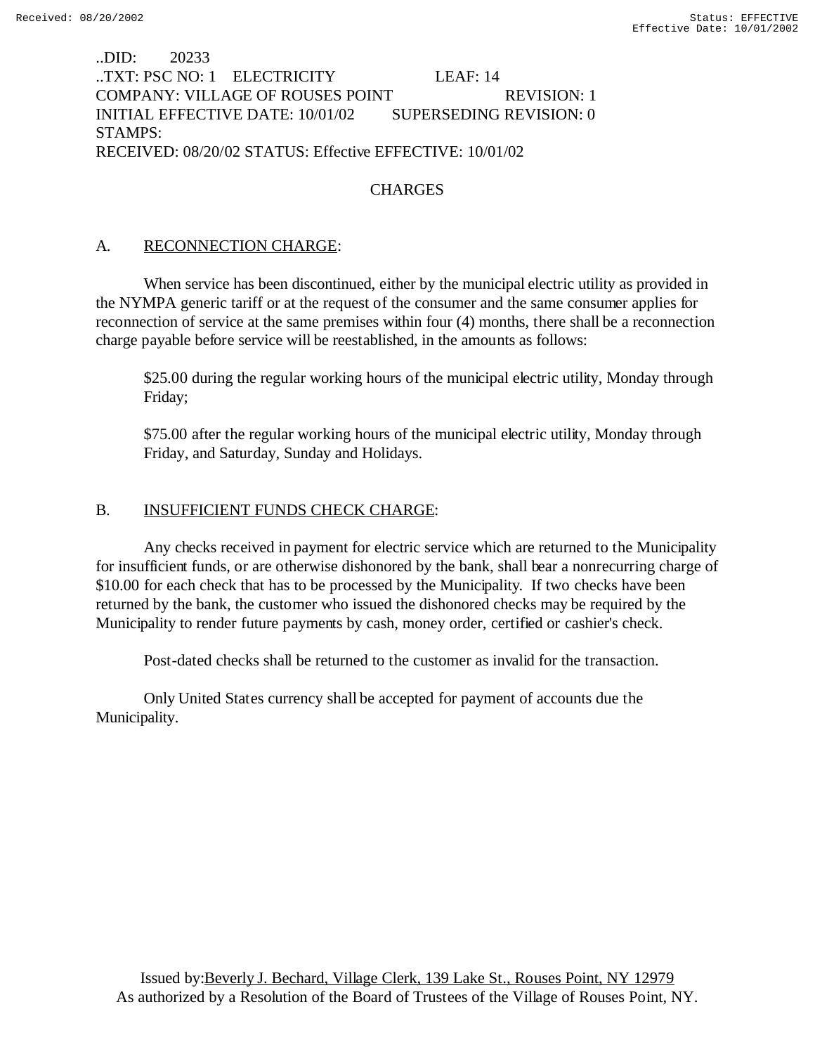# ..DID: 20233 ..TXT: PSC NO: 1 ELECTRICITY LEAF: 14 COMPANY: VILLAGE OF ROUSES POINT REVISION: 1 INITIAL EFFECTIVE DATE: 10/01/02 SUPERSEDING REVISION: 0 STAMPS: RECEIVED: 08/20/02 STATUS: Effective EFFECTIVE: 10/01/02

# **CHARGES**

## A. RECONNECTION CHARGE:

When service has been discontinued, either by the municipal electric utility as provided in the NYMPA generic tariff or at the request of the consumer and the same consumer applies for reconnection of service at the same premises within four (4) months, there shall be a reconnection charge payable before service will be reestablished, in the amounts as follows:

\$25.00 during the regular working hours of the municipal electric utility, Monday through Friday;

\$75.00 after the regular working hours of the municipal electric utility, Monday through Friday, and Saturday, Sunday and Holidays.

## B. INSUFFICIENT FUNDS CHECK CHARGE:

Any checks received in payment for electric service which are returned to the Municipality for insufficient funds, or are otherwise dishonored by the bank, shall bear a nonrecurring charge of \$10.00 for each check that has to be processed by the Municipality. If two checks have been returned by the bank, the customer who issued the dishonored checks may be required by the Municipality to render future payments by cash, money order, certified or cashier's check.

Post-dated checks shall be returned to the customer as invalid for the transaction.

Only United States currency shall be accepted for payment of accounts due the Municipality.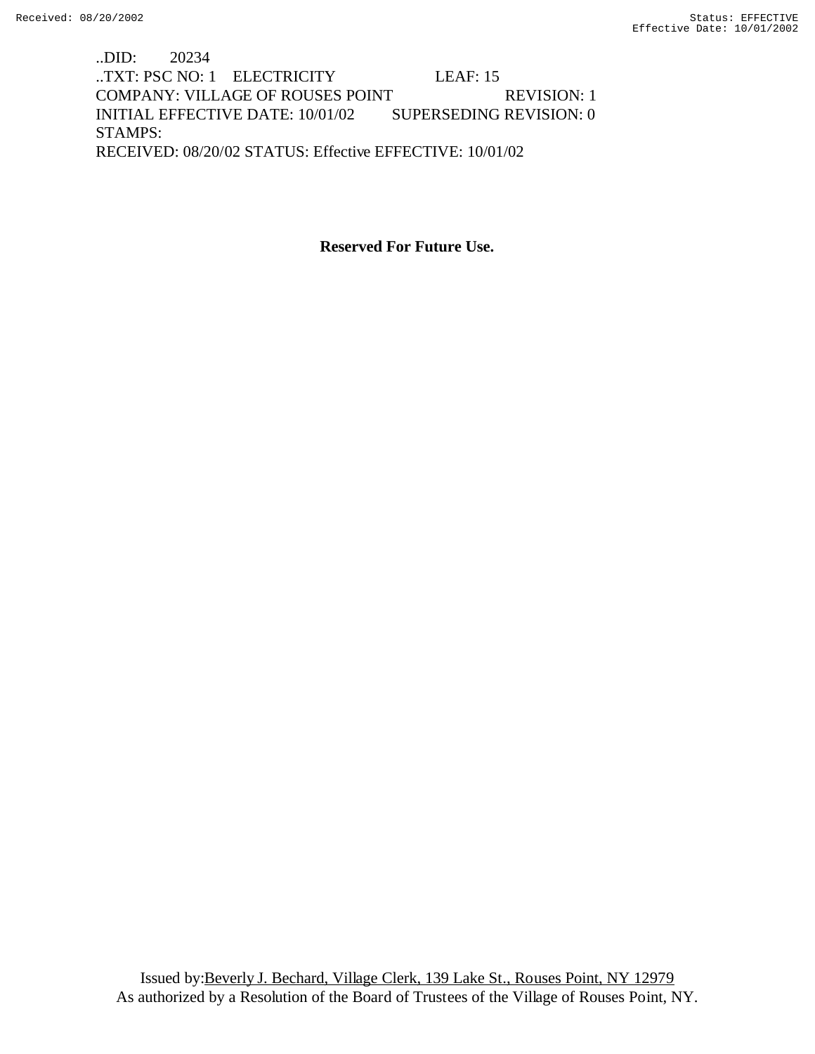..DID: 20234 ..TXT: PSC NO: 1 ELECTRICITY LEAF: 15 COMPANY: VILLAGE OF ROUSES POINT REVISION: 1 INITIAL EFFECTIVE DATE: 10/01/02 SUPERSEDING REVISION: 0 STAMPS: RECEIVED: 08/20/02 STATUS: Effective EFFECTIVE: 10/01/02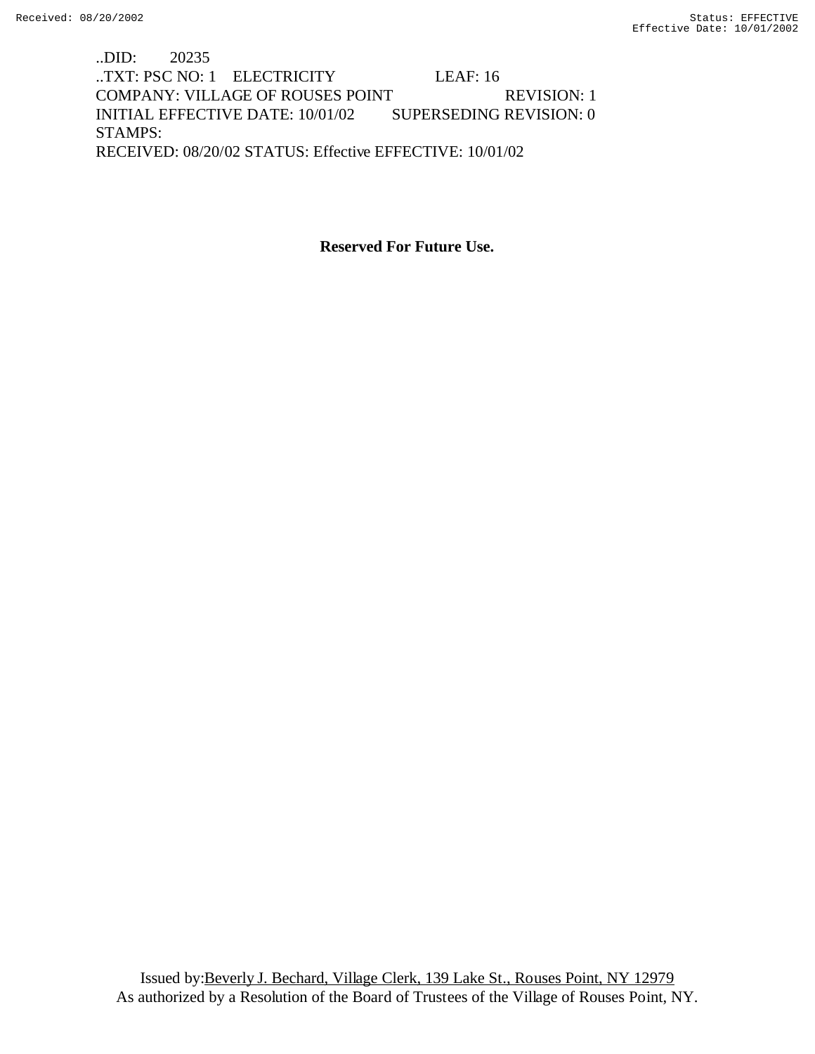..DID: 20235 ..TXT: PSC NO: 1 ELECTRICITY LEAF: 16 COMPANY: VILLAGE OF ROUSES POINT REVISION: 1 INITIAL EFFECTIVE DATE: 10/01/02 SUPERSEDING REVISION: 0 STAMPS: RECEIVED: 08/20/02 STATUS: Effective EFFECTIVE: 10/01/02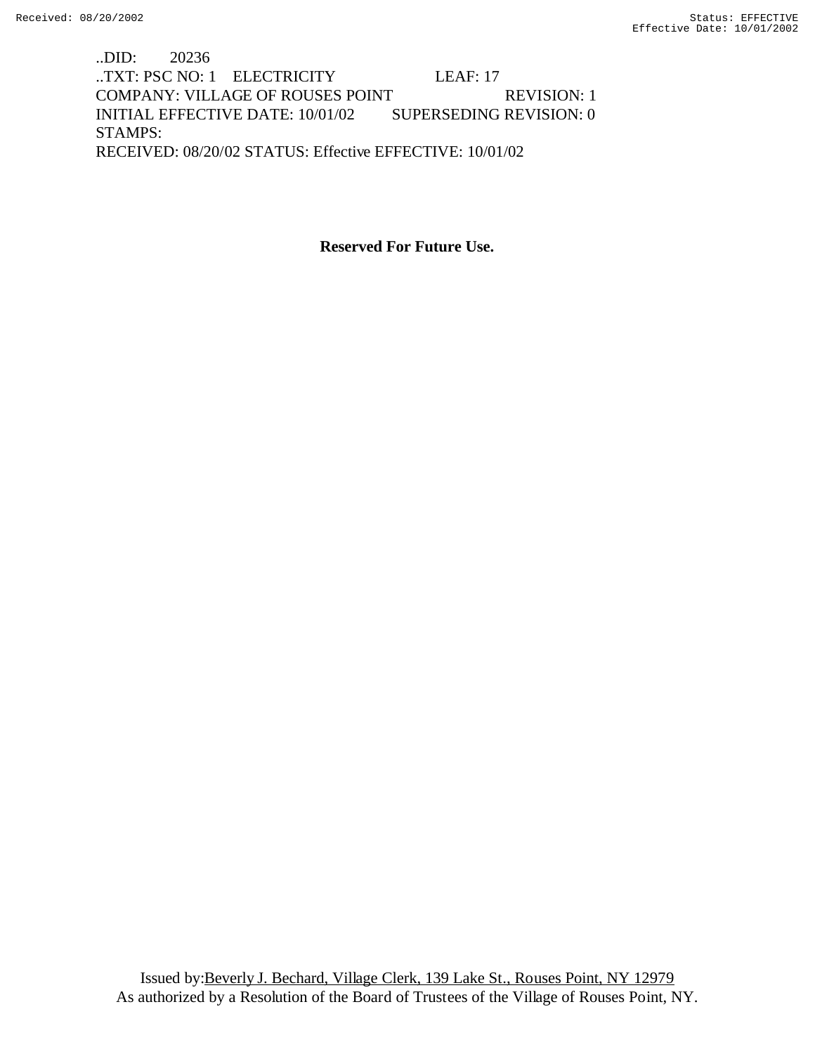..DID: 20236 ..TXT: PSC NO: 1 ELECTRICITY LEAF: 17 COMPANY: VILLAGE OF ROUSES POINT REVISION: 1 INITIAL EFFECTIVE DATE: 10/01/02 SUPERSEDING REVISION: 0 STAMPS: RECEIVED: 08/20/02 STATUS: Effective EFFECTIVE: 10/01/02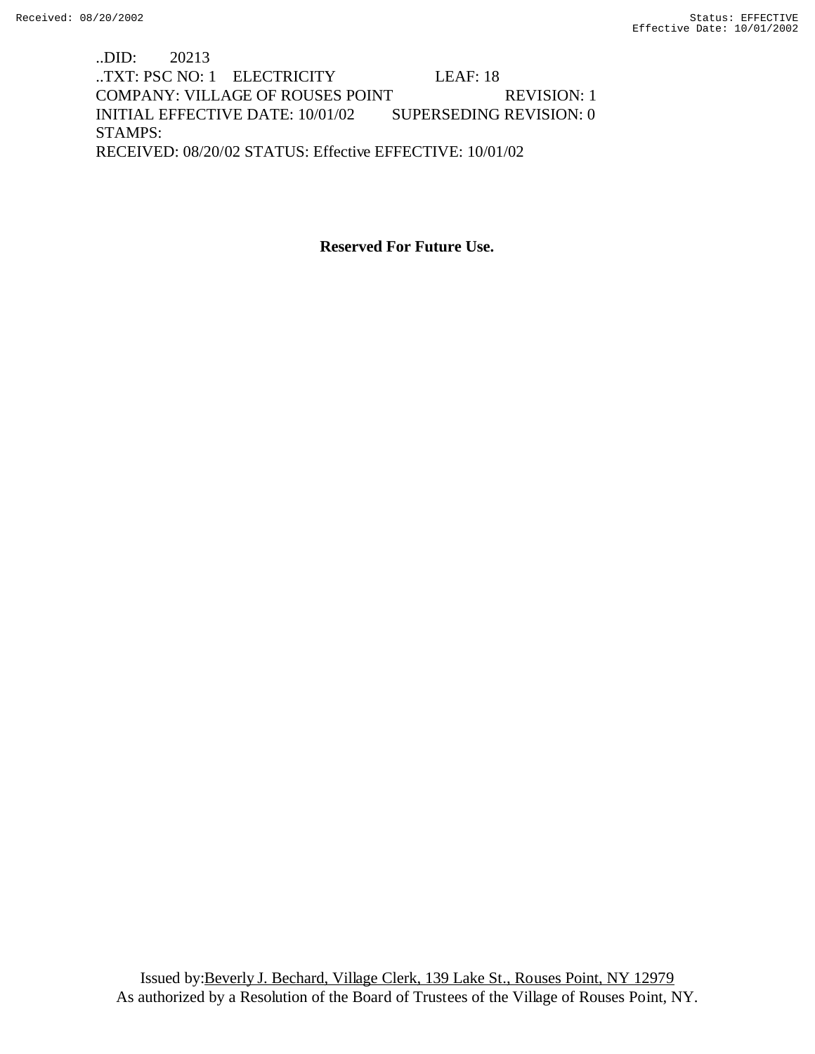..DID: 20213 ..TXT: PSC NO: 1 ELECTRICITY LEAF: 18 COMPANY: VILLAGE OF ROUSES POINT REVISION: 1 INITIAL EFFECTIVE DATE: 10/01/02 SUPERSEDING REVISION: 0 STAMPS: RECEIVED: 08/20/02 STATUS: Effective EFFECTIVE: 10/01/02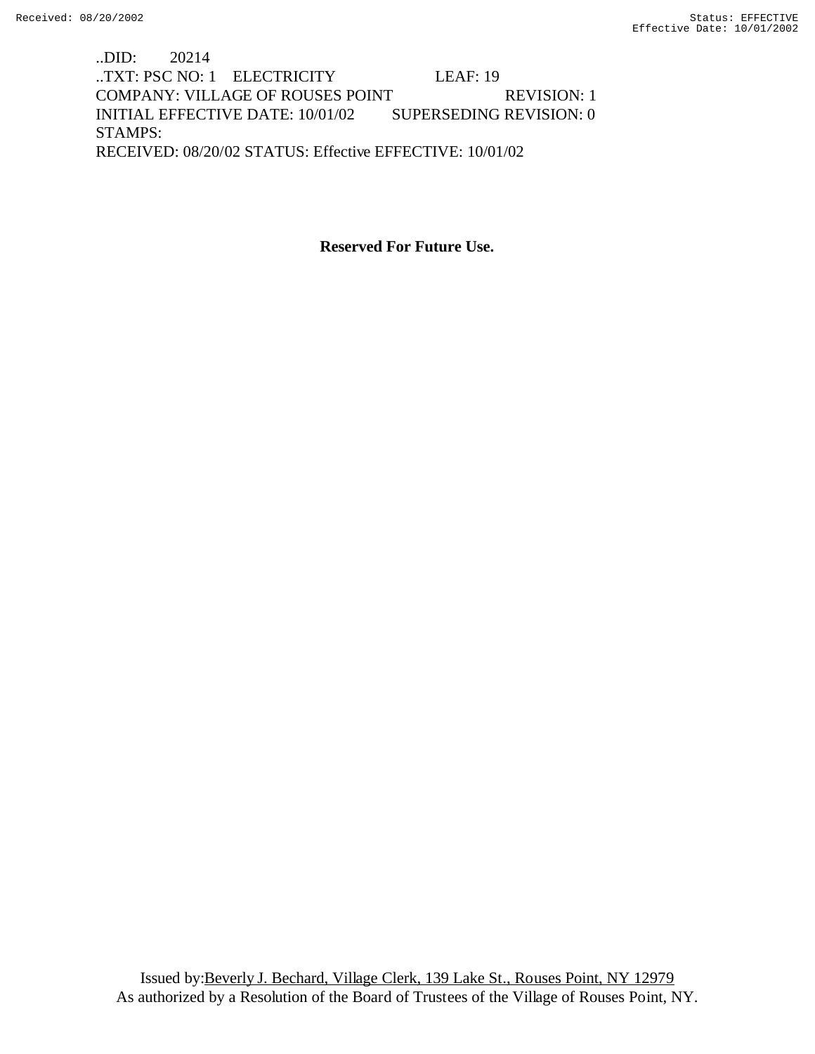..DID: 20214 ..TXT: PSC NO: 1 ELECTRICITY LEAF: 19 COMPANY: VILLAGE OF ROUSES POINT REVISION: 1 INITIAL EFFECTIVE DATE: 10/01/02 SUPERSEDING REVISION: 0 STAMPS: RECEIVED: 08/20/02 STATUS: Effective EFFECTIVE: 10/01/02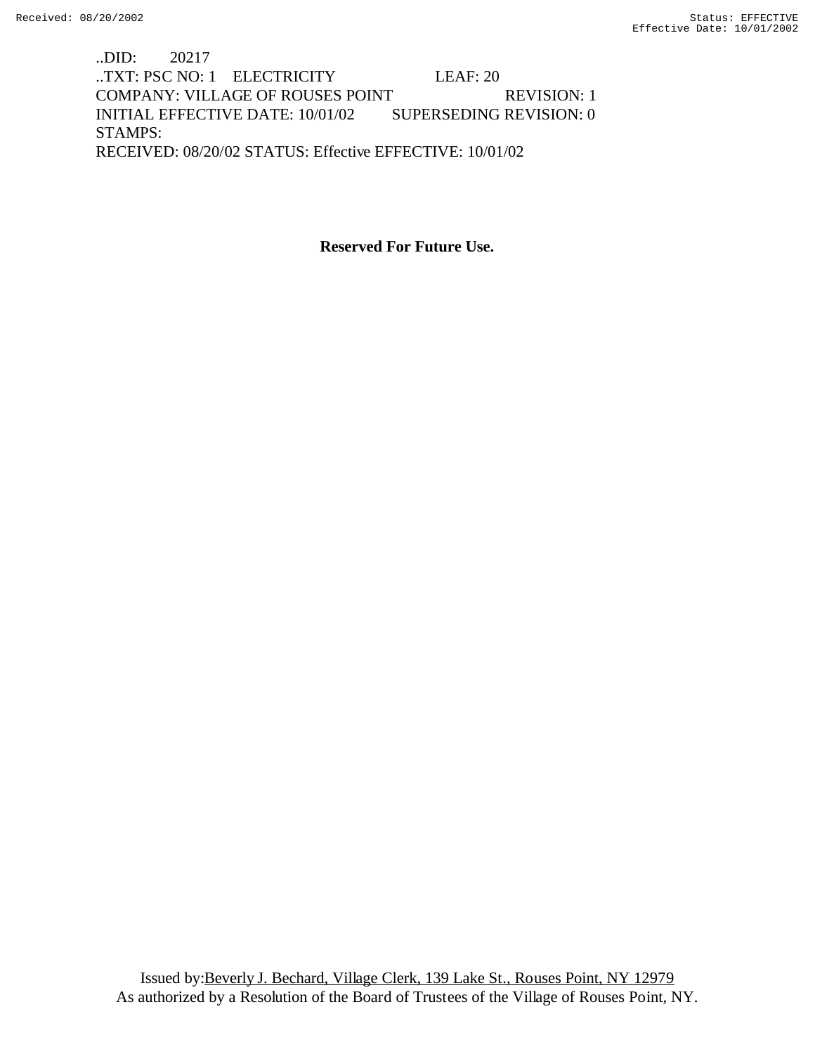..DID: 20217 ..TXT: PSC NO: 1 ELECTRICITY LEAF: 20 COMPANY: VILLAGE OF ROUSES POINT REVISION: 1 INITIAL EFFECTIVE DATE: 10/01/02 SUPERSEDING REVISION: 0 STAMPS: RECEIVED: 08/20/02 STATUS: Effective EFFECTIVE: 10/01/02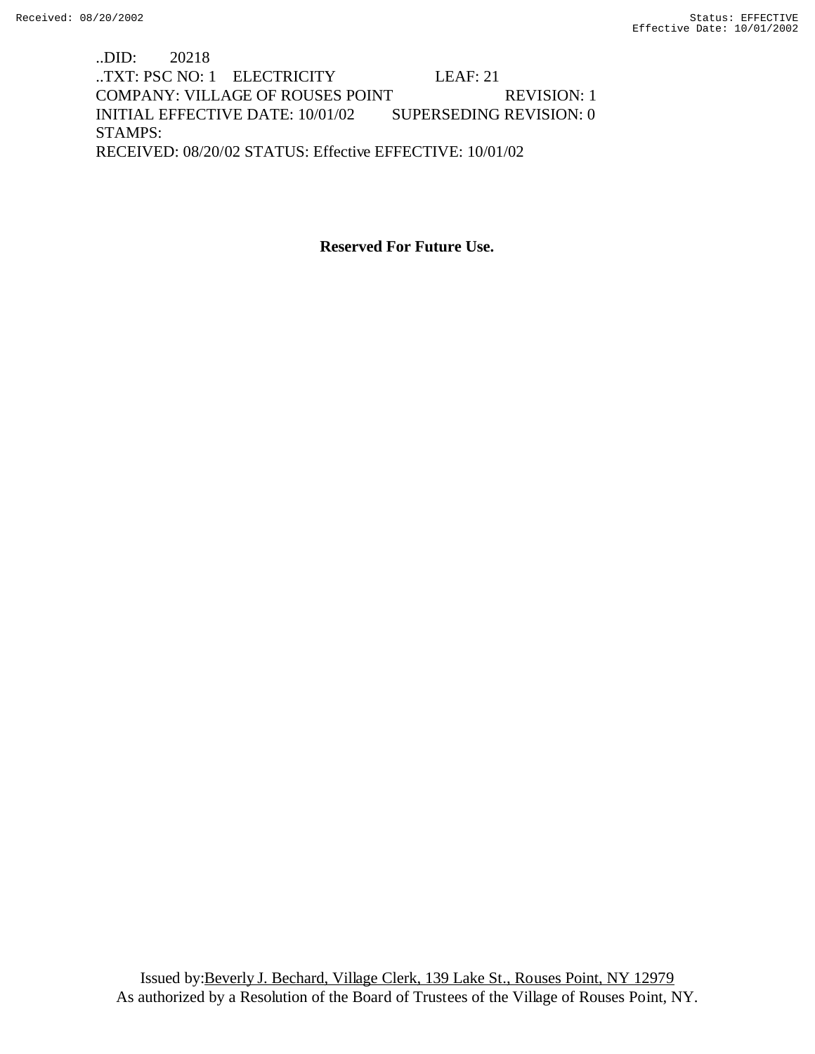..DID: 20218 ..TXT: PSC NO: 1 ELECTRICITY LEAF: 21 COMPANY: VILLAGE OF ROUSES POINT REVISION: 1 INITIAL EFFECTIVE DATE: 10/01/02 SUPERSEDING REVISION: 0 STAMPS: RECEIVED: 08/20/02 STATUS: Effective EFFECTIVE: 10/01/02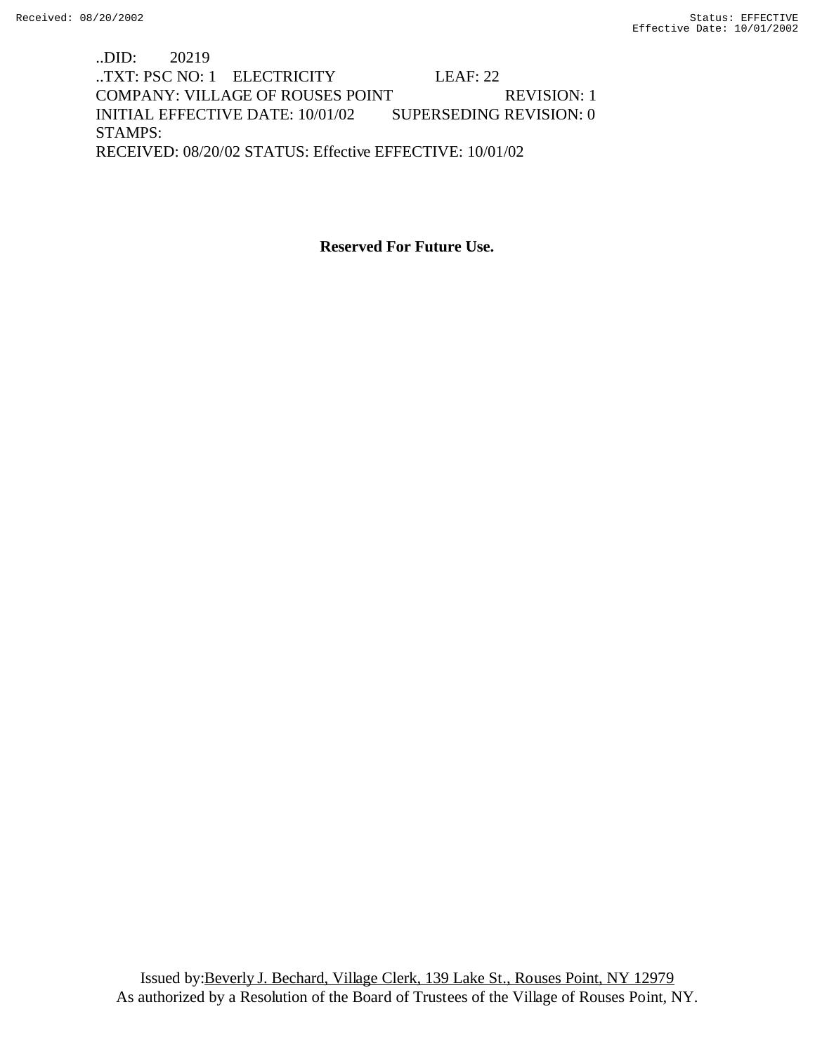..DID: 20219 ..TXT: PSC NO: 1 ELECTRICITY LEAF: 22 COMPANY: VILLAGE OF ROUSES POINT REVISION: 1 INITIAL EFFECTIVE DATE: 10/01/02 SUPERSEDING REVISION: 0 STAMPS: RECEIVED: 08/20/02 STATUS: Effective EFFECTIVE: 10/01/02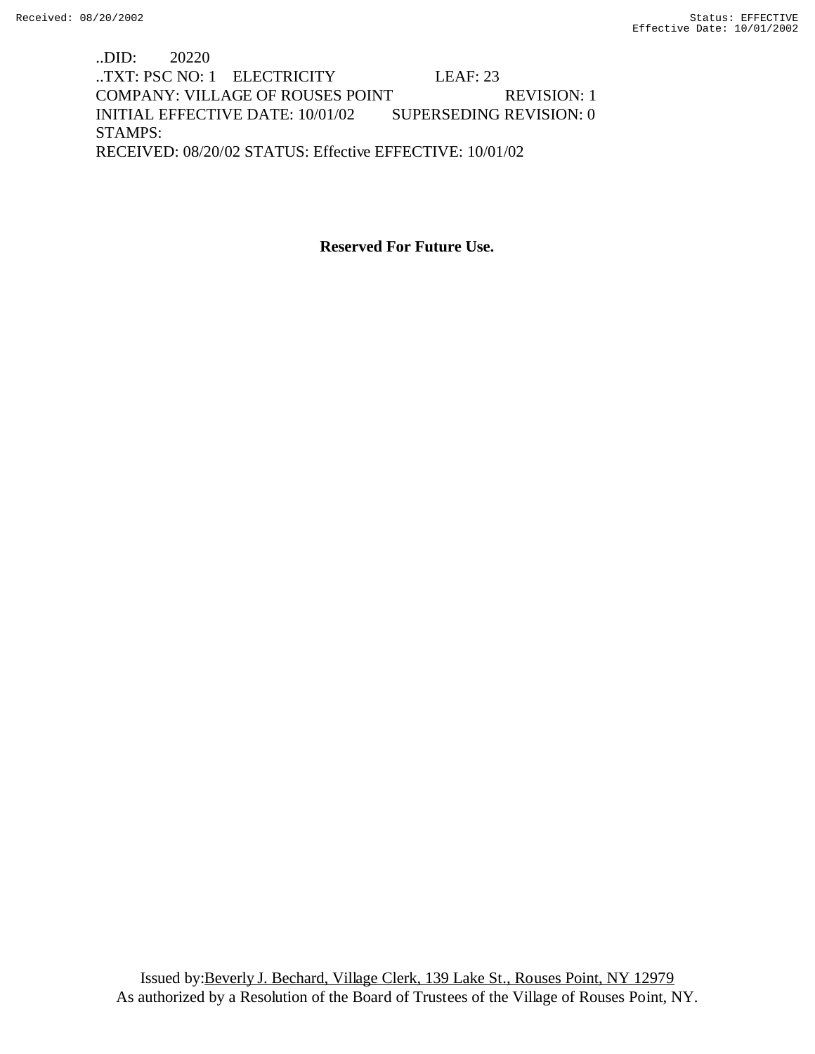..DID: 20220 ..TXT: PSC NO: 1 ELECTRICITY LEAF: 23 COMPANY: VILLAGE OF ROUSES POINT REVISION: 1 INITIAL EFFECTIVE DATE: 10/01/02 SUPERSEDING REVISION: 0 STAMPS: RECEIVED: 08/20/02 STATUS: Effective EFFECTIVE: 10/01/02